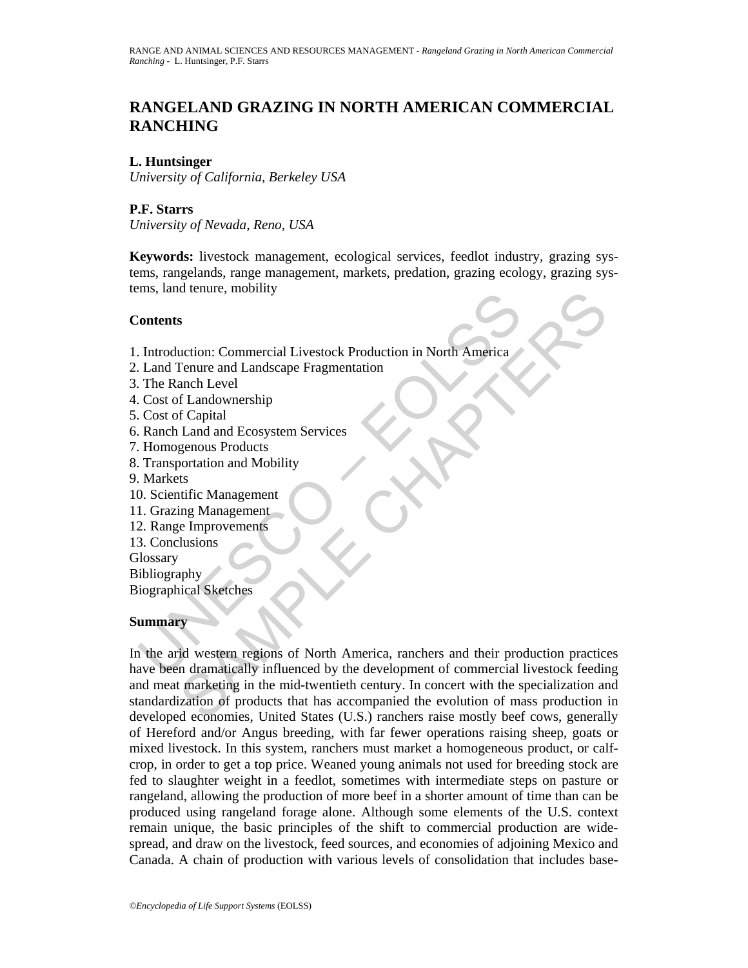# **RANGELAND GRAZING IN NORTH AMERICAN COMMERCIAL RANCHING**

## **L. Huntsinger**

*University of California, Berkeley USA* 

## **P.F. Starrs**

*University of Nevada, Reno, USA* 

**Keywords:** livestock management, ecological services, feedlot industry, grazing systems, rangelands, range management, markets, predation, grazing ecology, grazing systems, land tenure, mobility

## **Contents**

- 1. Introduction: Commercial Livestock Production in North America
- 2. Land Tenure and Landscape Fragmentation
- 3. The Ranch Level
- 4. Cost of Landownership
- 5. Cost of Capital
- 6. Ranch Land and Ecosystem Services
- 7. Homogenous Products
- 8. Transportation and Mobility
- 9. Markets
- 10. Scientific Management
- 11. Grazing Management
- 12. Range Improvements
- 13. Conclusions
- **Glossary**
- Bibliography
- Biographical Sketches

## **Summary**

The Contract Commercial Livestock Production in North America<br>
1. Land Tenure and Landscape Fragmentation<br>
1. The Ranch Level<br>
Cost of Landownership<br>
Cost of Capital<br>
Cost of Capital<br>
1. Gracine Land and Ecosystem Services SAMPLE CHAPTERS In the arid western regions of North America, ranchers and their production practices have been dramatically influenced by the development of commercial livestock feeding and meat marketing in the mid-twentieth century. In concert with the specialization and standardization of products that has accompanied the evolution of mass production in developed economies, United States (U.S.) ranchers raise mostly beef cows, generally of Hereford and/or Angus breeding, with far fewer operations raising sheep, goats or mixed livestock. In this system, ranchers must market a homogeneous product, or calfcrop, in order to get a top price. Weaned young animals not used for breeding stock are fed to slaughter weight in a feedlot, sometimes with intermediate steps on pasture or rangeland, allowing the production of more beef in a shorter amount of time than can be produced using rangeland forage alone. Although some elements of the U.S. context remain unique, the basic principles of the shift to commercial production are widespread, and draw on the livestock, feed sources, and economies of adjoining Mexico and Canada. A chain of production with various levels of consolidation that includes base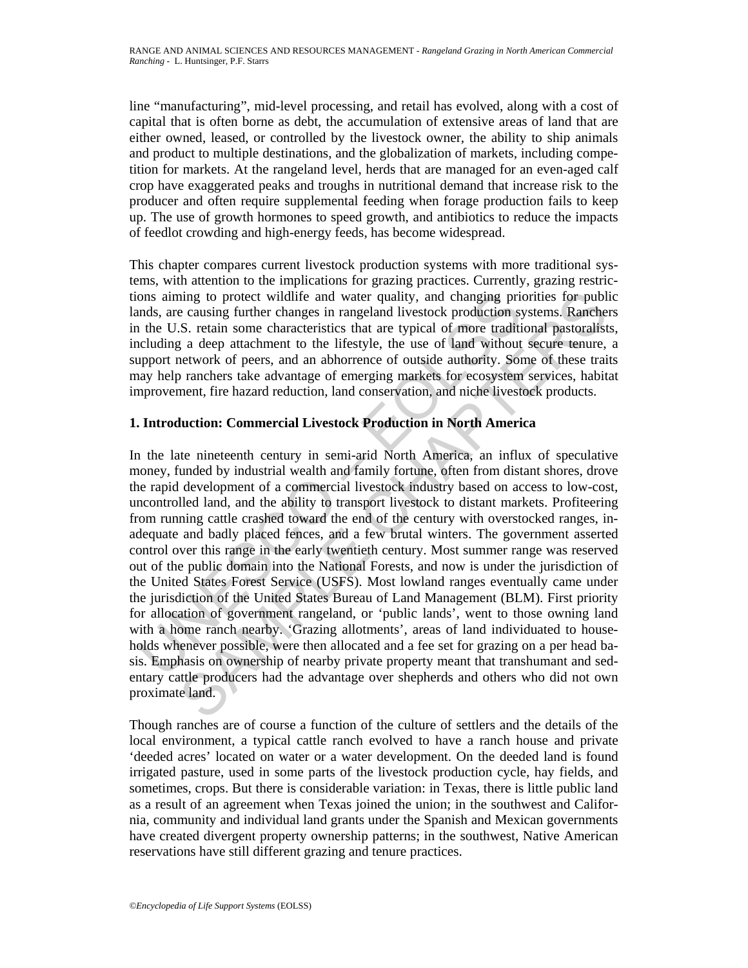line "manufacturing", mid-level processing, and retail has evolved, along with a cost of capital that is often borne as debt, the accumulation of extensive areas of land that are either owned, leased, or controlled by the livestock owner, the ability to ship animals and product to multiple destinations, and the globalization of markets, including competition for markets. At the rangeland level, herds that are managed for an even-aged calf crop have exaggerated peaks and troughs in nutritional demand that increase risk to the producer and often require supplemental feeding when forage production fails to keep up. The use of growth hormones to speed growth, and antibiotics to reduce the impacts of feedlot crowding and high-energy feeds, has become widespread.

This chapter compares current livestock production systems with more traditional systems, with attention to the implications for grazing practices. Currently, grazing restrictions aiming to protect wildlife and water quality, and changing priorities for public lands, are causing further changes in rangeland livestock production systems. Ranchers in the U.S. retain some characteristics that are typical of more traditional pastoralists, including a deep attachment to the lifestyle, the use of land without secure tenure, a support network of peers, and an abhorrence of outside authority. Some of these traits may help ranchers take advantage of emerging markets for ecosystem services, habitat improvement, fire hazard reduction, land conservation, and niche livestock products.

## **1. Introduction: Commercial Livestock Production in North America**

ons aiming to protect wildlife and water quality, and changing priors, are causing further changes in rangeland livestock production sy the U.S. retain some characteristics that are typical of more tradition is the U.S. re ing to protect wildlife and water quality, and changing priorities for public causing further changes in rangeland livestock production systems. Ranchen causing further changes in rangeland livestock production systems are In the late nineteenth century in semi-arid North America, an influx of speculative money, funded by industrial wealth and family fortune, often from distant shores, drove the rapid development of a commercial livestock industry based on access to low-cost, uncontrolled land, and the ability to transport livestock to distant markets. Profiteering from running cattle crashed toward the end of the century with overstocked ranges, inadequate and badly placed fences, and a few brutal winters. The government asserted control over this range in the early twentieth century. Most summer range was reserved out of the public domain into the National Forests, and now is under the jurisdiction of the United States Forest Service (USFS). Most lowland ranges eventually came under the jurisdiction of the United States Bureau of Land Management (BLM). First priority for allocation of government rangeland, or 'public lands', went to those owning land with a home ranch nearby. 'Grazing allotments', areas of land individuated to households whenever possible, were then allocated and a fee set for grazing on a per head basis. Emphasis on ownership of nearby private property meant that transhumant and sedentary cattle producers had the advantage over shepherds and others who did not own proximate land.

Though ranches are of course a function of the culture of settlers and the details of the local environment, a typical cattle ranch evolved to have a ranch house and private 'deeded acres' located on water or a water development. On the deeded land is found irrigated pasture, used in some parts of the livestock production cycle, hay fields, and sometimes, crops. But there is considerable variation: in Texas, there is little public land as a result of an agreement when Texas joined the union; in the southwest and California, community and individual land grants under the Spanish and Mexican governments have created divergent property ownership patterns; in the southwest, Native American reservations have still different grazing and tenure practices.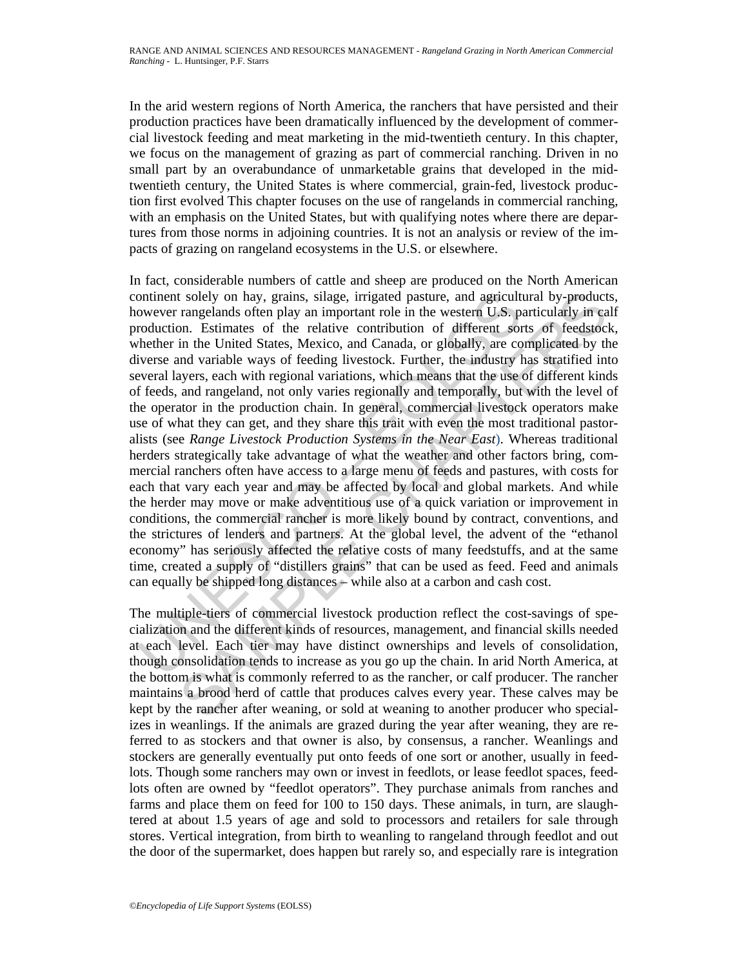In the arid western regions of North America, the ranchers that have persisted and their production practices have been dramatically influenced by the development of commercial livestock feeding and meat marketing in the mid-twentieth century. In this chapter, we focus on the management of grazing as part of commercial ranching. Driven in no small part by an overabundance of unmarketable grains that developed in the midtwentieth century, the United States is where commercial, grain-fed, livestock production first evolved This chapter focuses on the use of rangelands in commercial ranching, with an emphasis on the United States, but with qualifying notes where there are departures from those norms in adjoining countries. It is not an analysis or review of the impacts of grazing on rangeland ecosystems in the U.S. or elsewhere.

ontinent solely on hay, grains, silage, irrigated pasture, and agricult<br>owever rangelands often play an important role in the western U.S. production. Estimates of the relative contribution of different son-<br>choduction. Es t solely on hay, grains, silage, irrigated pasture, and agricultural by-product<br>rangelands of<br>then lays an important role in the vessert U.S. particularly in can<br>entiment controllation of different sorts of feedstock<br>in th In fact, considerable numbers of cattle and sheep are produced on the North American continent solely on hay, grains, silage, irrigated pasture, and agricultural by-products, however rangelands often play an important role in the western U.S. particularly in calf production. Estimates of the relative contribution of different sorts of feedstock, whether in the United States, Mexico, and Canada, or globally, are complicated by the diverse and variable ways of feeding livestock. Further, the industry has stratified into several layers, each with regional variations, which means that the use of different kinds of feeds, and rangeland, not only varies regionally and temporally, but with the level of the operator in the production chain. In general, commercial livestock operators make use of what they can get, and they share this trait with even the most traditional pastoralists (see *Range Livestock Production Systems in the Near East*). Whereas traditional herders strategically take advantage of what the weather and other factors bring, commercial ranchers often have access to a large menu of feeds and pastures, with costs for each that vary each year and may be affected by local and global markets. And while the herder may move or make adventitious use of a quick variation or improvement in conditions, the commercial rancher is more likely bound by contract, conventions, and the strictures of lenders and partners. At the global level, the advent of the "ethanol economy" has seriously affected the relative costs of many feedstuffs, and at the same time, created a supply of "distillers grains" that can be used as feed. Feed and animals can equally be shipped long distances – while also at a carbon and cash cost.

The multiple-tiers of commercial livestock production reflect the cost-savings of specialization and the different kinds of resources, management, and financial skills needed at each level. Each tier may have distinct ownerships and levels of consolidation, though consolidation tends to increase as you go up the chain. In arid North America, at the bottom is what is commonly referred to as the rancher, or calf producer. The rancher maintains a brood herd of cattle that produces calves every year. These calves may be kept by the rancher after weaning, or sold at weaning to another producer who specializes in weanlings. If the animals are grazed during the year after weaning, they are referred to as stockers and that owner is also, by consensus, a rancher. Weanlings and stockers are generally eventually put onto feeds of one sort or another, usually in feedlots. Though some ranchers may own or invest in feedlots, or lease feedlot spaces, feedlots often are owned by "feedlot operators". They purchase animals from ranches and farms and place them on feed for 100 to 150 days. These animals, in turn, are slaughtered at about 1.5 years of age and sold to processors and retailers for sale through stores. Vertical integration, from birth to weanling to rangeland through feedlot and out the door of the supermarket, does happen but rarely so, and especially rare is integration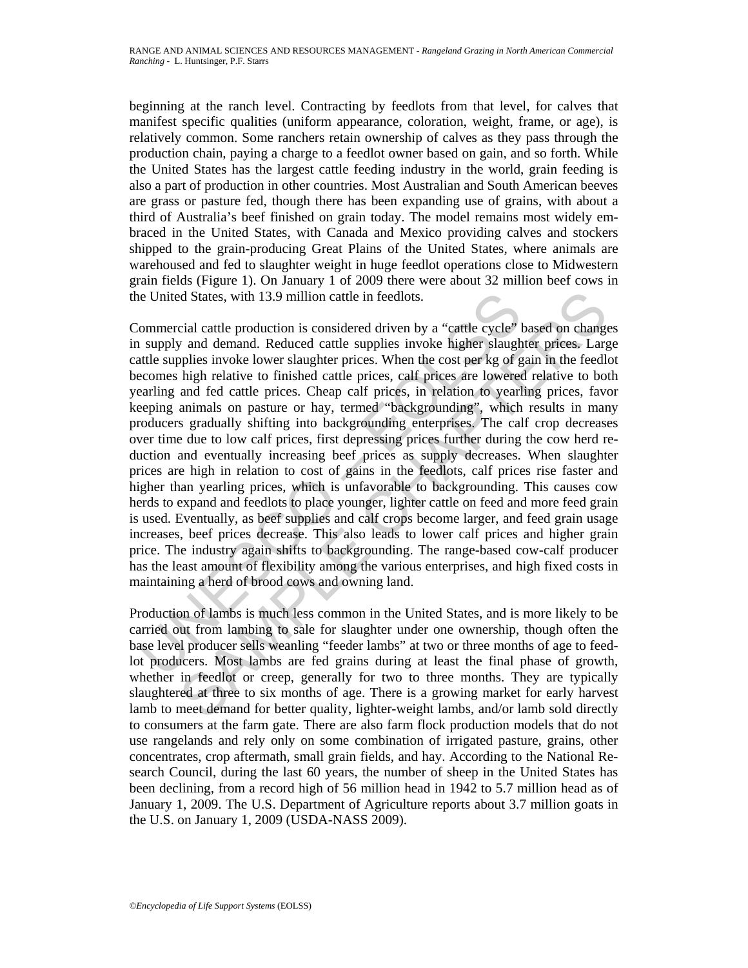beginning at the ranch level. Contracting by feedlots from that level, for calves that manifest specific qualities (uniform appearance, coloration, weight, frame, or age), is relatively common. Some ranchers retain ownership of calves as they pass through the production chain, paying a charge to a feedlot owner based on gain, and so forth. While the United States has the largest cattle feeding industry in the world, grain feeding is also a part of production in other countries. Most Australian and South American beeves are grass or pasture fed, though there has been expanding use of grains, with about a third of Australia's beef finished on grain today. The model remains most widely embraced in the United States, with Canada and Mexico providing calves and stockers shipped to the grain-producing Great Plains of the United States, where animals are warehoused and fed to slaughter weight in huge feedlot operations close to Midwestern grain fields (Figure 1). On January 1 of 2009 there were about 32 million beef cows in the United States, with 13.9 million cattle in feedlots.

ie United States, with 13.9 million cattle in feedlots.<br>
Commercial cattle production is considered driven by a "cattle cycle" a supply and demand. Reduced cattle supplies invoke higher slaught<br>
attle supplies invoke lower d States, with 13.9 million cattle in feedlots.<br>
cial cattle production is considered driven by a "cattle cycle" based on change y and demand. Reduced cattle supplies invoke higher slaughter prices. Large high relative to Commercial cattle production is considered driven by a "cattle cycle" based on changes in supply and demand. Reduced cattle supplies invoke higher slaughter prices. Large cattle supplies invoke lower slaughter prices. When the cost per kg of gain in the feedlot becomes high relative to finished cattle prices, calf prices are lowered relative to both yearling and fed cattle prices. Cheap calf prices, in relation to yearling prices, favor keeping animals on pasture or hay, termed "backgrounding", which results in many producers gradually shifting into backgrounding enterprises. The calf crop decreases over time due to low calf prices, first depressing prices further during the cow herd reduction and eventually increasing beef prices as supply decreases. When slaughter prices are high in relation to cost of gains in the feedlots, calf prices rise faster and higher than yearling prices, which is unfavorable to backgrounding. This causes cow herds to expand and feedlots to place younger, lighter cattle on feed and more feed grain is used. Eventually, as beef supplies and calf crops become larger, and feed grain usage increases, beef prices decrease. This also leads to lower calf prices and higher grain price. The industry again shifts to backgrounding. The range-based cow-calf producer has the least amount of flexibility among the various enterprises, and high fixed costs in maintaining a herd of brood cows and owning land.

Production of lambs is much less common in the United States, and is more likely to be carried out from lambing to sale for slaughter under one ownership, though often the base level producer sells weanling "feeder lambs" at two or three months of age to feedlot producers. Most lambs are fed grains during at least the final phase of growth, whether in feedlot or creep, generally for two to three months. They are typically slaughtered at three to six months of age. There is a growing market for early harvest lamb to meet demand for better quality, lighter-weight lambs, and/or lamb sold directly to consumers at the farm gate. There are also farm flock production models that do not use rangelands and rely only on some combination of irrigated pasture, grains, other concentrates, crop aftermath, small grain fields, and hay. According to the National Research Council, during the last 60 years, the number of sheep in the United States has been declining, from a record high of 56 million head in 1942 to 5.7 million head as of January 1, 2009. The U.S. Department of Agriculture reports about 3.7 million goats in the U.S. on January 1, 2009 (USDA-NASS 2009).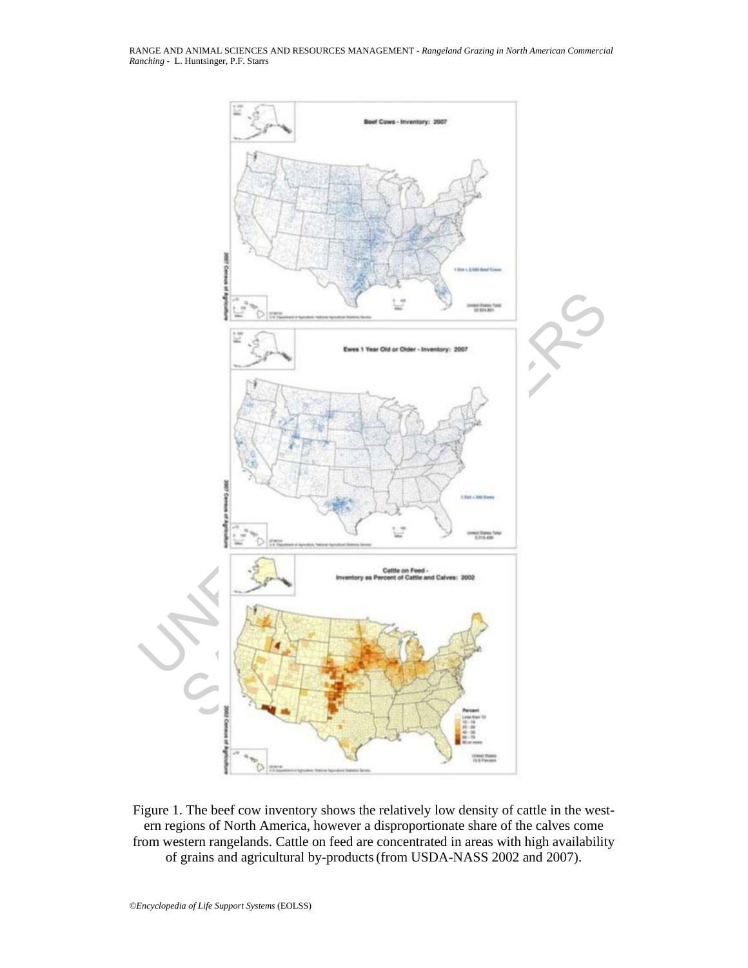RANGE AND ANIMAL SCIENCES AND RESOURCES MANAGEMENT - *Rangeland Grazing in North American Commercial Ranching* - L. Huntsinger, P.F. Starrs



Figure 1. The beef cow inventory shows the relatively low density of cattle in the western regions of North America, however a disproportionate share of the calves come from western rangelands. Cattle on feed are concentrated in areas with high availability of grains and agricultural by-products(from USDA-NASS 2002 and 2007).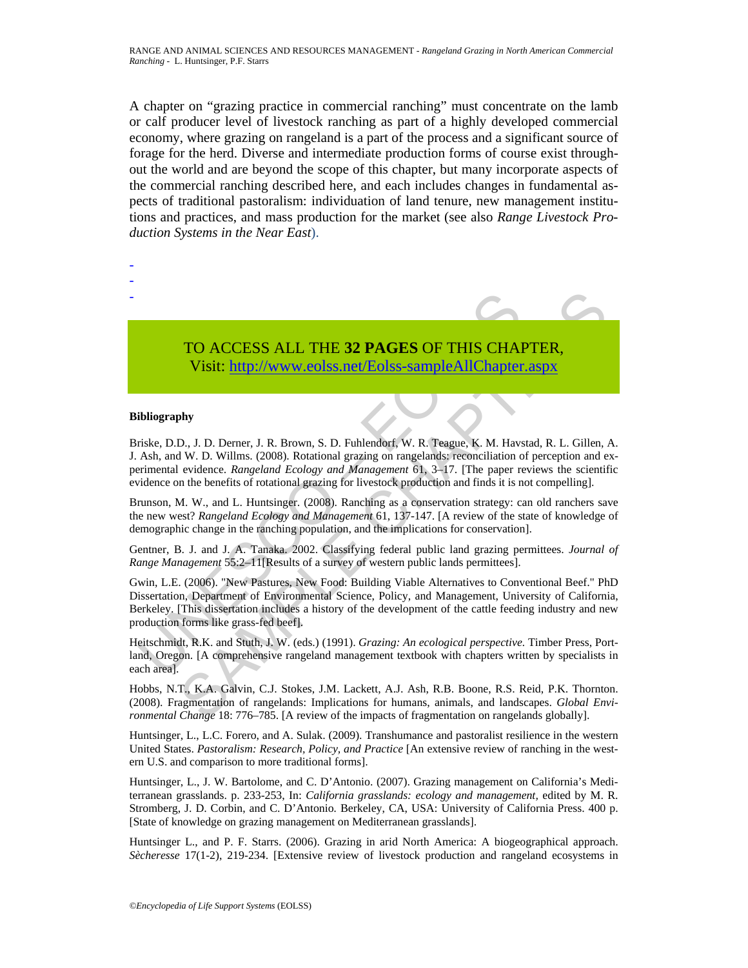A chapter on "grazing practice in commercial ranching" must concentrate on the lamb or calf producer level of livestock ranching as part of a highly developed commercial economy, where grazing on rangeland is a part of the process and a significant source of forage for the herd. Diverse and intermediate production forms of course exist throughout the world and are beyond the scope of this chapter, but many incorporate aspects of the commercial ranching described here, and each includes changes in fundamental aspects of traditional pastoralism: individuation of land tenure, new management institutions and practices, and mass production for the market (see also *Range Livestock Production Systems in the Near East*).



# TO ACCESS ALL THE **32 PAGES** OF THIS CHAPTER, Visit: http://www.eolss.net/Eolss-sampleAllChapter.aspx

### **Bibliography**

UNESCO – EOLSS SAMPLE CHAP[TER](https://www.eolss.net/ebooklib/sc_cart.aspx?File=E5-35-02)S Briske, D.D., J. D. Derner, J. R. Brown, S. D. Fuhlendorf, W. R. Teague, K. M. Havstad, R. L. Gillen, A. J. Ash, and W. D. Willms. (2008). Rotational grazing on rangelands: reconciliation of perception and experimental evidence. *Rangeland Ecology and Management* 61, 3–17. [The paper reviews the scientific evidence on the benefits of rotational grazing for livestock production and finds it is not compelling].

Brunson, M. W., and L. Huntsinger. (2008). Ranching as a conservation strategy: can old ranchers save the new west? *Rangeland Ecology and Management* 61, 137-147. [A review of the state of knowledge of demographic change in the ranching population, and the implications for conservation].

Gentner, B. J. and J. A. Tanaka. 2002. Classifying federal public land grazing permittees. *Journal of Range Management* 55:2–11[Results of a survey of western public lands permittees].

Gwin, L.E. (2006). "New Pastures, New Food: Building Viable Alternatives to Conventional Beef." PhD Dissertation, Department of Environmental Science, Policy, and Management, University of California, Berkeley. [This dissertation includes a history of the development of the cattle feeding industry and new production forms like grass-fed beef].

Heitschmidt, R.K. and Stuth, J. W. (eds.) (1991). *Grazing: An ecological perspective.* Timber Press, Portland, Oregon. [A comprehensive rangeland management textbook with chapters written by specialists in each area].

Hobbs, N.T., K.A. Galvin, C.J. Stokes, J.M. Lackett, A.J. Ash, R.B. Boone, R.S. Reid, P.K. Thornton. (2008). Fragmentation of rangelands: Implications for humans, animals, and landscapes. *Global Environmental Change* 18: 776–785. [A review of the impacts of fragmentation on rangelands globally].

Huntsinger, L., L.C. Forero, and A. Sulak. (2009). Transhumance and pastoralist resilience in the western United States. *Pastoralism: Research, Policy, and Practice* [An extensive review of ranching in the western U.S. and comparison to more traditional forms].

Huntsinger, L., J. W. Bartolome, and C. D'Antonio. (2007). Grazing management on California's Mediterranean grasslands. p. 233-253, In: *California grasslands: ecology and management,* edited by M. R. Stromberg, J. D. Corbin, and C. D'Antonio*.* Berkeley, CA, USA: University of California Press. 400 p. [State of knowledge on grazing management on Mediterranean grasslands].

Huntsinger L., and P. F. Starrs. (2006). Grazing in arid North America: A biogeographical approach. *Sècheresse* 17(1-2), 219-234. [Extensive review of livestock production and rangeland ecosystems in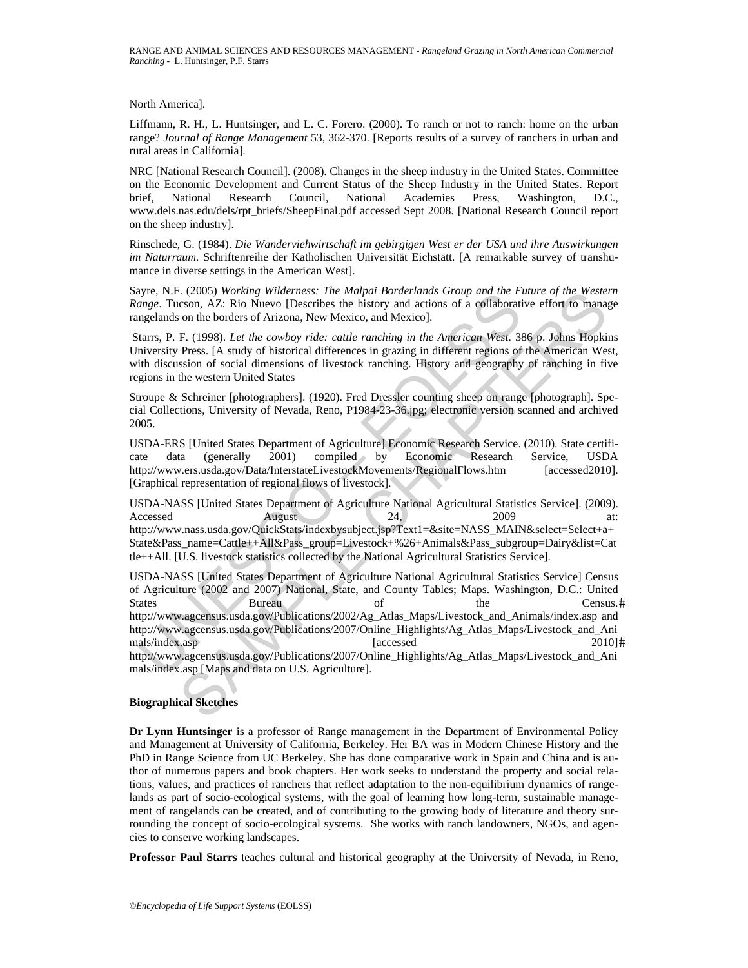North America].

Liffmann, R. H., L. Huntsinger, and L. C. Forero. (2000). To ranch or not to ranch: home on the urban range? *Journal of Range Management* 53, 362-370. [Reports results of a survey of ranchers in urban and rural areas in California].

NRC [National Research Council]. (2008). Changes in the sheep industry in the United States. Committee on the Economic Development and Current Status of the Sheep Industry in the United States. Report brief, National Research Council, National Academies Press, Washington, D.C., www.dels.nas.edu/dels/rpt\_briefs/SheepFinal.pdf accessed Sept 2008. [National Research Council report on the sheep industry].

Rinschede, G. (1984). *Die Wanderviehwirtschaft im gebirgigen West er der USA und ihre Auswirkungen im Naturraum.* Schriftenreihe der Katholischen Universität Eichstätt. [A remarkable survey of transhumance in diverse settings in the American West].

Sayre, N.F. (2005) *Working Wilderness: The Malpai Borderlands Group and the Future of the Western Range*. Tucson, AZ: Rio Nuevo [Describes the history and actions of a collaborative effort to manage rangelands on the borders of Arizona, New Mexico, and Mexico].

 Starrs, P. F. (1998). *Let the cowboy ride: cattle ranching in the American West.* 386 p. Johns Hopkins University Press. [A study of historical differences in grazing in different regions of the American West, with discussion of social dimensions of livestock ranching. History and geography of ranching in five regions in the western United States

Stroupe & Schreiner [photographers]. (1920). Fred Dressler counting sheep on range [photograph]. Special Collections, University of Nevada, Reno, P1984-23-36.jpg; electronic version scanned and archived 2005.

USDA-ERS [United States Department of Agriculture] Economic Research Service. (2010). State certificate data (generally 2001) compiled by Economic Research Service, USDA http://www.ers.usda.gov/Data/InterstateLivestockMovements/RegionalFlows.htm [accessed2010]. [Graphical representation of regional flows of livestock].

USDA-NASS [United States Department of Agriculture National Agricultural Statistics Service]. (2009). Accessed August 24, 2009 at: http://www.nass.usda.gov/QuickStats/indexbysubject.jsp?Text1=&site=NASS\_MAIN&select=Select+a+ State&Pass\_name=Cattle++All&Pass\_group=Livestock+%26+Animals&Pass\_subgroup=Dairy&list=Cat tle++All. [U.S. livestock statistics collected by the National Agricultural Statistics Service].

Apper, N.P. (2003) Working Widterness: The Manpat Borderianas Group and the Priscon, AZ: Rio Nuevo [Describes the history and actions of a collaborating<br>enge, Tucson, AZ: Rio Nuevo [Describes the history and actions of a c C(2003) Working Wilderness: The Malpta Borderlands Group and the Future of the Wester<br>CSO. Novel, New Mexico, and Mexico).<br>
Second AZ: Rio Nuevo [Describes the history and actions of a collaborative effort to manage on the USDA-NASS [United States Department of Agriculture National Agricultural Statistics Service] Census of Agriculture (2002 and 2007) National, State, and County Tables; Maps. Washington, D.C.: United States Bureau of the Census.# http://www.agcensus.usda.gov/Publications/2002/Ag\_Atlas\_Maps/Livestock\_and\_Animals/index.asp and http://www.agcensus.usda.gov/Publications/2007/Online\_Highlights/Ag\_Atlas\_Maps/Livestock\_and\_Ani mals/index.asp **[accessed 2010]**# http://www.agcensus.usda.gov/Publications/2007/Online\_Highlights/Ag\_Atlas\_Maps/Livestock\_and\_Ani

mals/index.asp [Maps and data on U.S. Agriculture].

## **Biographical Sketches**

**Dr Lynn Huntsinger** is a professor of Range management in the Department of Environmental Policy and Management at University of California, Berkeley. Her BA was in Modern Chinese History and the PhD in Range Science from UC Berkeley. She has done comparative work in Spain and China and is author of numerous papers and book chapters. Her work seeks to understand the property and social relations, values, and practices of ranchers that reflect adaptation to the non-equilibrium dynamics of rangelands as part of socio-ecological systems, with the goal of learning how long-term, sustainable management of rangelands can be created, and of contributing to the growing body of literature and theory surrounding the concept of socio-ecological systems. She works with ranch landowners, NGOs, and agencies to conserve working landscapes.

**Professor Paul Starrs** teaches cultural and historical geography at the University of Nevada, in Reno,